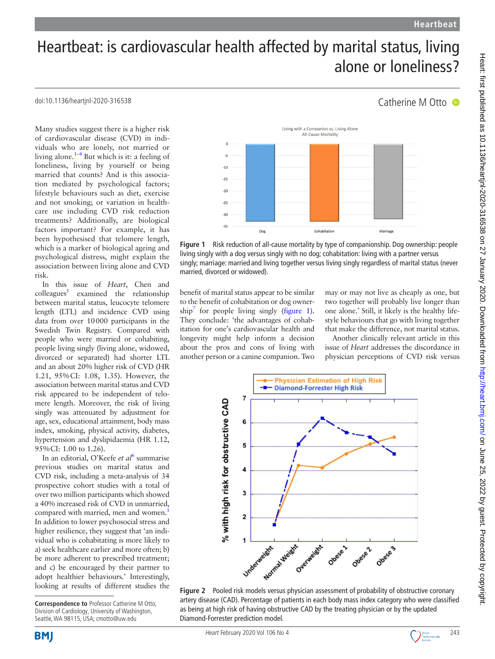Catherine M Otto <sup>o</sup>

# Heartbeat: is cardiovascular health affected by marital status, living alone or loneliness?

## doi:10.1136/heartjnl-2020-316538

Many studies suggest there is a higher risk of cardiovascular disease (CVD) in individuals who are lonely, not married or living alone. $1-4$  But which is it: a feeling of loneliness, living by yourself or being married that counts? And is this association mediated by psychological factors; lifestyle behaviours such as diet, exercise and not smoking; or variation in healthcare use including CVD risk reduction treatments? Additionally, are biological factors important? For example, it has been hypothesised that telomere length, which is a marker of biological ageing and psychological distress, might explain the association between living alone and CVD risk.

In this issue of *Heart*, Chen and  $\text{colle}$ agues $\frac{5}{3}$  examined the relationship between marital status, leucocyte telomere length (LTL) and incidence CVD using data from over 10000 participants in the Swedish Twin Registry. Compared with people who were married or cohabiting, people living singly (living alone, widowed, divorced or separated) had shorter LTL and an about 20% higher risk of CVD (HR 1.21, 95%CI: 1.08, 1.35). However, the association between marital status and CVD risk appeared to be independent of telomere length. Moreover, the risk of living singly was attenuated by adjustment for age, sex, educational attainment, body mass index, smoking, physical activity, diabetes, hypertension and dyslipidaemia (HR 1.12, 95%CI: 1.00 to 1.26).

In an editorial, O'Keefe et al<sup>[6](#page-2-2)</sup> summarise previous studies on marital status and CVD risk, including a meta-analysis of 34 prospective cohort studies with a total of over two million participants which showed a 40% increased risk of CVD in unmarried, compared with married, men and women.<sup>[1](#page-2-0)</sup> In addition to lower psychosocial stress and higher resilience, they suggest that 'an individual who is cohabitating is more likely to a) seek healthcare earlier and more often; b) be more adherent to prescribed treatment; and c) be encouraged by their partner to adopt healthier behaviours.' Interestingly, looking at results of different studies the



<span id="page-0-0"></span>**Figure 1** Risk reduction of all-cause mortality by type of companionship. Dog ownership: people living singly with a dog versus singly with no dog; cohabitation: living with a partner versus singly; marriage: married and living together versus living singly regardless of marital status (never married, divorced or widowed).

benefit of marital status appear to be similar to the benefit of cohabitation or dog owner- $\sin^7$  for people living singly ([figure](#page-0-0) 1). They conclude: 'the advantages of cohabitation for one's cardiovascular health and longevity might help inform a decision about the pros and cons of living with another person or a canine companion. Two

may or may not live as cheaply as one, but two together will probably live longer than one alone.' Still, it likely is the healthy lifestyle behaviours that go with living together that make the difference, not marital status.

Another clinically relevant article in this issue of *Heart* addresses the discordance in physician perceptions of CVD risk versus



<span id="page-0-1"></span>



**Correspondence to** Professor Catherine M Otto, Division of Cardiology, University of Washington, Seattle, WA 98115, USA; cmotto@uw.edu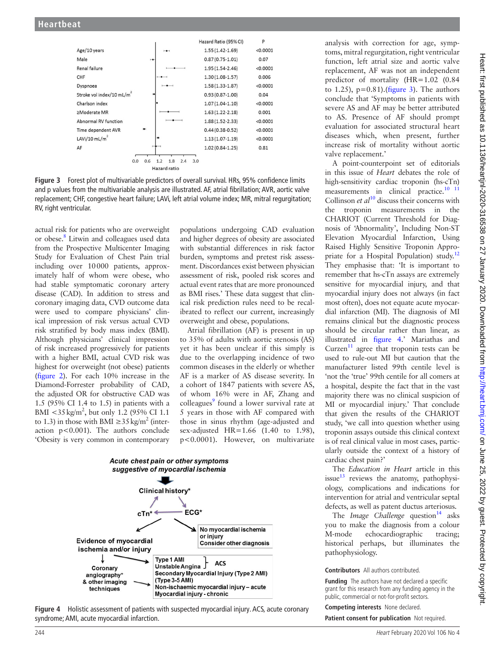

<span id="page-1-0"></span>**Figure 3** Forest plot of multivariable predictors of overall survival. HRs, 95% confidence limits and p values from the multivariable analysis are illustrated. AF, atrial fibrillation; AVR, aortic valve replacement; CHF, congestive heart failure; LAVi, left atrial volume index; MR, mitral regurgitation; RV, right ventricular.

actual risk for patients who are overweight or obese.<sup>8</sup> Litwin and colleagues used data from the Prospective Multicenter Imaging Study for Evaluation of Chest Pain trial including over 10000 patients, approximately half of whom were obese, who had stable symptomatic coronary artery disease (CAD). In addition to stress and coronary imaging data, CVD outcome data were used to compare physicians' clinical impression of risk versus actual CVD risk stratified by body mass index (BMI). Although physicians' clinical impression of risk increased progressively for patients with a higher BMI, actual CVD risk was highest for overweight (not obese) patients ([figure](#page-0-1) 2). For each 10% increase in the Diamond-Forrester probability of CAD, the adjusted OR for obstructive CAD was 1.5 (95% CI 1.4 to 1.5) in patients with a BMI  $<$ 35 kg/m<sup>2</sup>, but only 1.2 (95% CI 1.1) to 1.3) in those with BMI  $\geq$ 35 kg/m<sup>2</sup> (interaction p<0.001). The authors conclude 'Obesity is very common in contemporary

populations undergoing CAD evaluation and higher degrees of obesity are associated with substantial differences in risk factor burden, symptoms and pretest risk assessment. Discordances exist between physician assessment of risk, pooled risk scores and actual event rates that are more pronounced as BMI rises.' These data suggest that clinical risk prediction rules need to be recalibrated to reflect our current, increasingly overweight and obese, populations.

Atrial fibrillation (AF) is present in up to 35% of adults with aortic stenosis (AS) yet it has been unclear if this simply is due to the overlapping incidence of two common diseases in the elderly or whether AF is a marker of AS disease severity. In a cohort of 1847 patients with severe AS, of whom 16% were in AF, Zhang and colleagues<sup>9</sup> found a lower survival rate at 5 years in those with AF compared with those in sinus rhythm (age-adjusted and sex-adjusted HR=1.66 (1.40 to 1.98), p<0.0001). However, on multivariate



<span id="page-1-1"></span>**Figure 4** Holistic assessment of patients with suspected myocardial injury. ACS, acute coronary syndrome; AMI, acute myocardial infarction.

analysis with correction for age, symptoms, mitral regurgitation, right ventricular function, left atrial size and aortic valve replacement, AF was not an independent predictor of mortality (HR=1.02 (0.84 to 1.25),  $p=0.81$ . ([figure](#page-1-0) 3). The authors conclude that 'Symptoms in patients with severe AS and AF may be better attributed to AS. Presence of AF should prompt evaluation for associated structural heart diseases which, when present, further increase risk of mortality without aortic valve replacement.'

A point-counterpoint set of editorials in this issue of *Heart* debates the role of high-sensitivity cardiac troponin (hs-cTn) measurements in clinical practice. $10^{-11}$ Collinson *et al*<sup>10</sup> discuss their concerns with the troponin measurements in the CHARIOT (Current Threshold for Diagnosis of 'Abnormality', Including Non-ST Elevation Myocardial Infarction, Using Raised Highly Sensitive Troponin Appro-priate for a Hospital Population) study.<sup>[12](#page-2-7)</sup> They emphasise that: 'It is important to remember that hs-cTn assays are extremely sensitive for myocardial injury, and that myocardial injury does not always (in fact most often), does not equate acute myocardial infarction (MI). The diagnosis of MI remains clinical but the diagnostic process should be circular rather than linear, as illustrated in [figure](#page-1-1) 4.' Mariathas and Curzen<sup>11</sup> agree that troponin tests can be used to rule-out MI but caution that the manufacturer listed 99th centile level is 'not the 'true' 99th centile for all comers at a hospital, despite the fact that in the vast majority there was no clinical suspicion of MI or myocardial injury.' That conclude that given the results of the CHARIOT study, 'we call into question whether using troponin assays outside this clinical context is of real clinical value in most cases, particularly outside the context of a history of cardiac chest pain?'

The *Education in Heart* article in this issue $^{13}$  $^{13}$  $^{13}$  reviews the anatomy, pathophysiology, complications and indications for intervention for atrial and ventricular septal defects, as well as patent ductus arteriosus.

The *Image Challenge* question<sup>14</sup> asks you to make the diagnosis from a colour M-mode echocardiographic tracing; historical perhaps, but illuminates the pathophysiology.

## **Contributors** All authors contributed.

**Funding** The authors have not declared a specific grant for this research from any funding agency in the public, commercial or not-for-profit sectors.

**Competing interests** None declared. **Patient consent for publication** Not required.